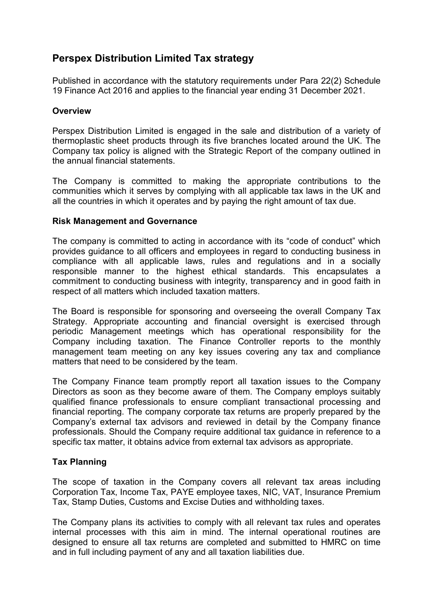# **Perspex Distribution Limited Tax strategy**

Published in accordance with the statutory requirements under Para 22(2) Schedule 19 Finance Act 2016 and applies to the financial year ending 31 December 2021.

## **Overview**

Perspex Distribution Limited is engaged in the sale and distribution of a variety of thermoplastic sheet products through its five branches located around the UK. The Company tax policy is aligned with the Strategic Report of the company outlined in the annual financial statements.

The Company is committed to making the appropriate contributions to the communities which it serves by complying with all applicable tax laws in the UK and all the countries in which it operates and by paying the right amount of tax due.

## **Risk Management and Governance**

The company is committed to acting in accordance with its "code of conduct" which provides guidance to all officers and employees in regard to conducting business in compliance with all applicable laws, rules and regulations and in a socially responsible manner to the highest ethical standards. This encapsulates a commitment to conducting business with integrity, transparency and in good faith in respect of all matters which included taxation matters.

The Board is responsible for sponsoring and overseeing the overall Company Tax Strategy. Appropriate accounting and financial oversight is exercised through periodic Management meetings which has operational responsibility for the Company including taxation. The Finance Controller reports to the monthly management team meeting on any key issues covering any tax and compliance matters that need to be considered by the team.

The Company Finance team promptly report all taxation issues to the Company Directors as soon as they become aware of them. The Company employs suitably qualified finance professionals to ensure compliant transactional processing and financial reporting. The company corporate tax returns are properly prepared by the Company's external tax advisors and reviewed in detail by the Company finance professionals. Should the Company require additional tax guidance in reference to a specific tax matter, it obtains advice from external tax advisors as appropriate.

## **Tax Planning**

The scope of taxation in the Company covers all relevant tax areas including Corporation Tax, Income Tax, PAYE employee taxes, NIC, VAT, Insurance Premium Tax, Stamp Duties, Customs and Excise Duties and withholding taxes.

The Company plans its activities to comply with all relevant tax rules and operates internal processes with this aim in mind. The internal operational routines are designed to ensure all tax returns are completed and submitted to HMRC on time and in full including payment of any and all taxation liabilities due.